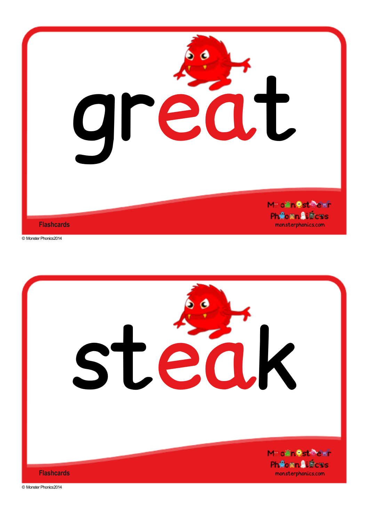

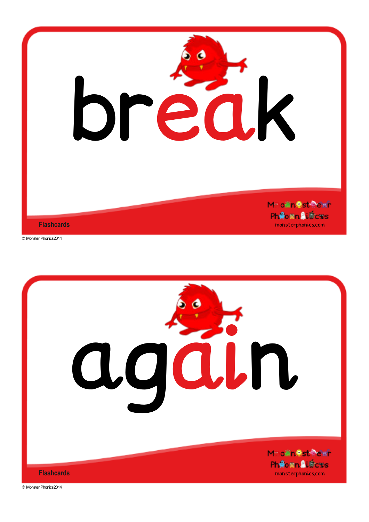

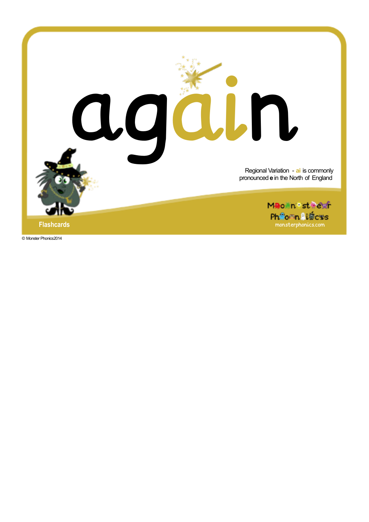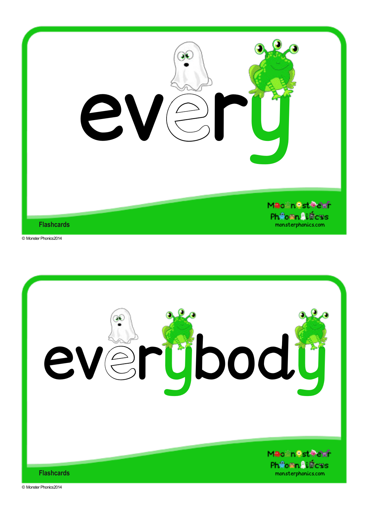

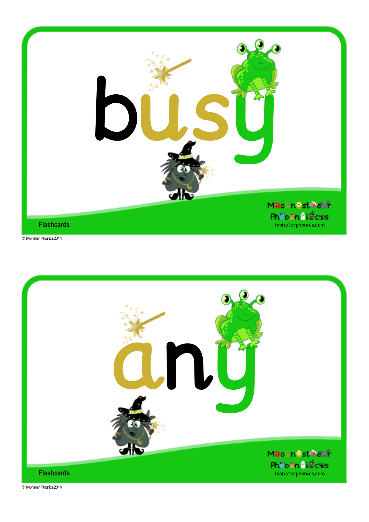

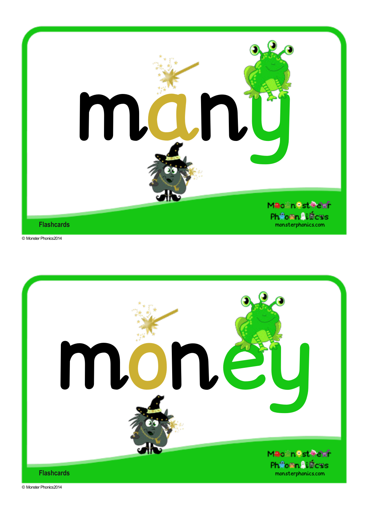

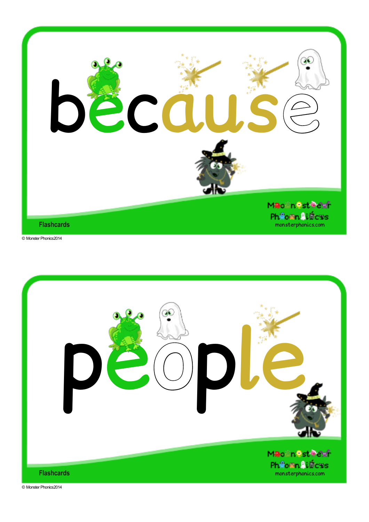

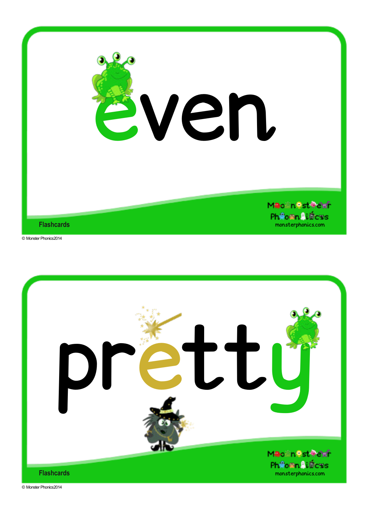

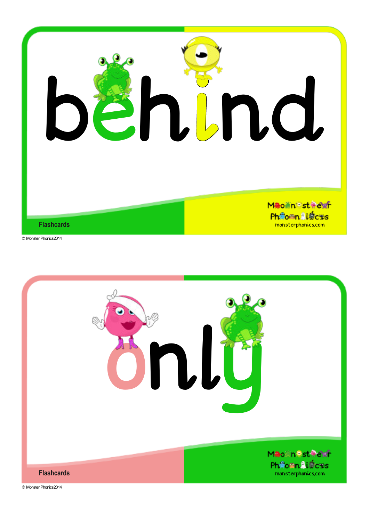

![](_page_8_Picture_2.jpeg)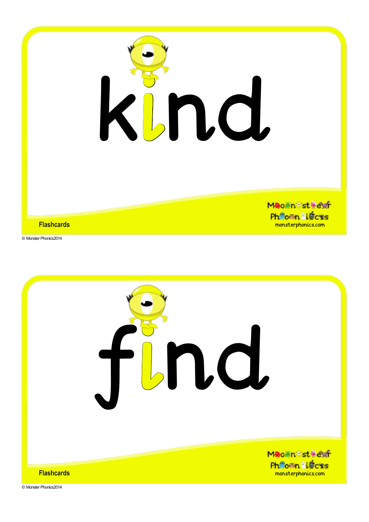![](_page_9_Picture_0.jpeg)

![](_page_9_Picture_1.jpeg)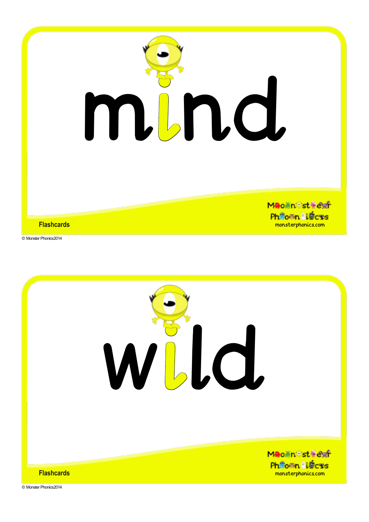![](_page_10_Picture_0.jpeg)

![](_page_10_Picture_2.jpeg)

![](_page_10_Picture_3.jpeg)

**Flashcards**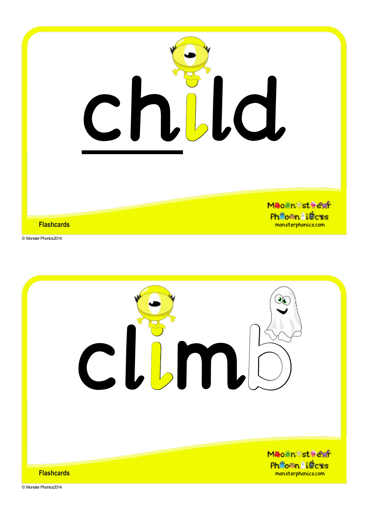![](_page_11_Picture_0.jpeg)

![](_page_11_Picture_2.jpeg)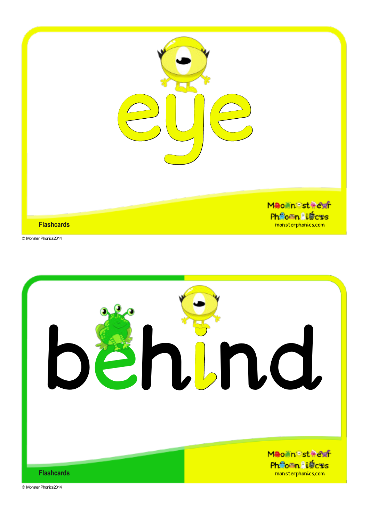![](_page_12_Picture_0.jpeg)

![](_page_12_Picture_2.jpeg)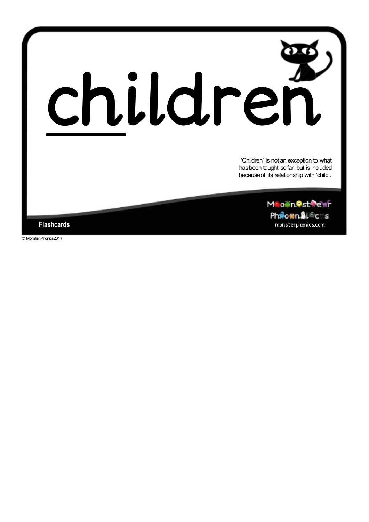![](_page_13_Picture_0.jpeg)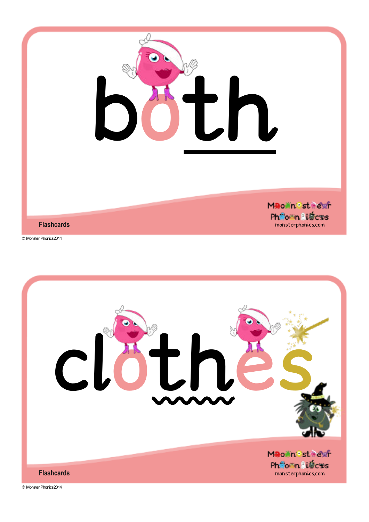![](_page_14_Picture_0.jpeg)

![](_page_14_Picture_2.jpeg)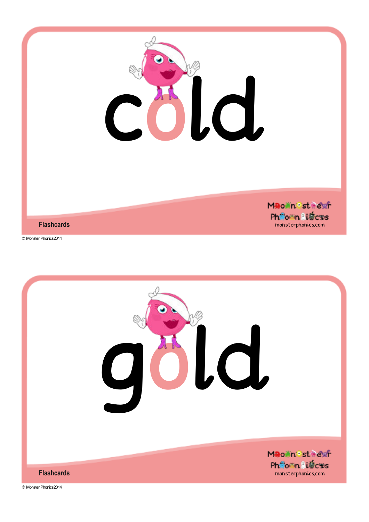![](_page_15_Picture_0.jpeg)

![](_page_15_Picture_2.jpeg)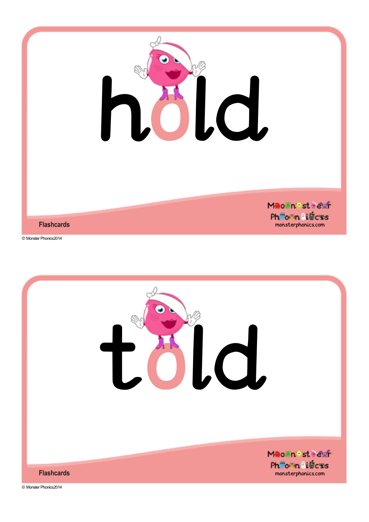![](_page_16_Picture_0.jpeg)

![](_page_16_Picture_1.jpeg)

Mao in Est Fexfr Ph<sup>e</sup>onn li输c%s monsterphonics.com

**Flashcards**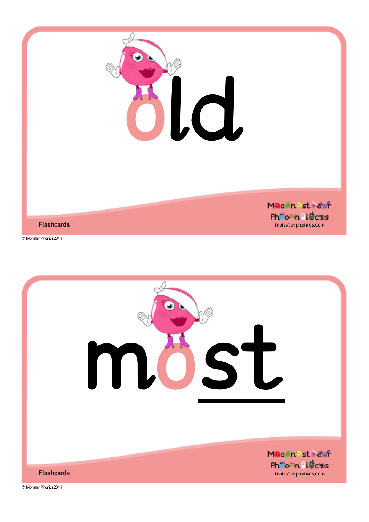![](_page_17_Picture_0.jpeg)

![](_page_17_Picture_2.jpeg)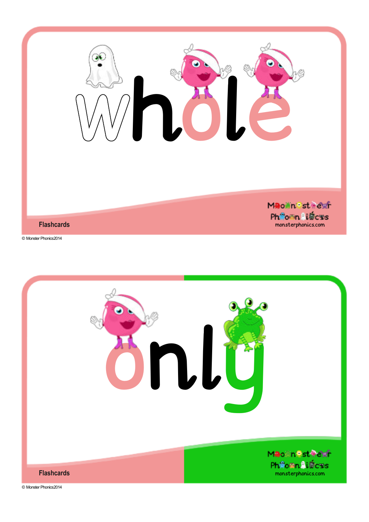![](_page_18_Picture_0.jpeg)

![](_page_18_Picture_1.jpeg)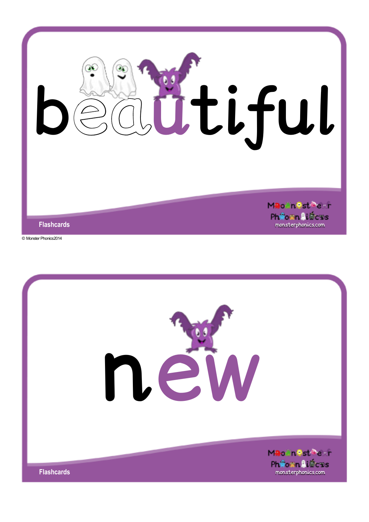![](_page_19_Picture_0.jpeg)

![](_page_19_Picture_2.jpeg)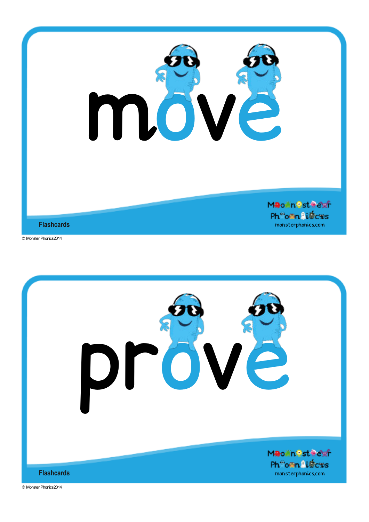![](_page_20_Picture_0.jpeg)

![](_page_20_Picture_2.jpeg)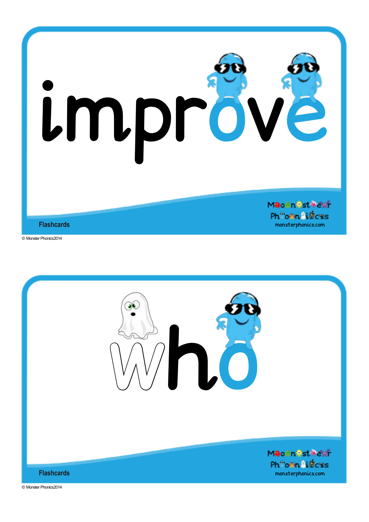![](_page_21_Picture_0.jpeg)

![](_page_21_Picture_2.jpeg)

![](_page_21_Picture_3.jpeg)

**Flashcards**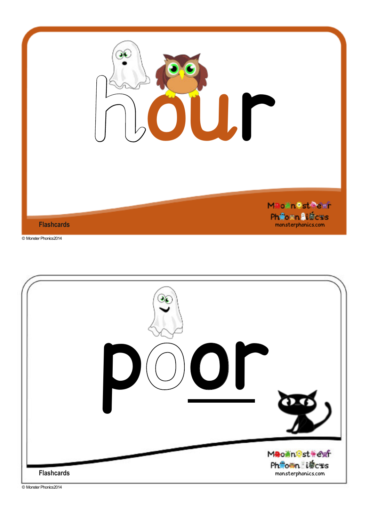![](_page_22_Picture_0.jpeg)

![](_page_22_Picture_2.jpeg)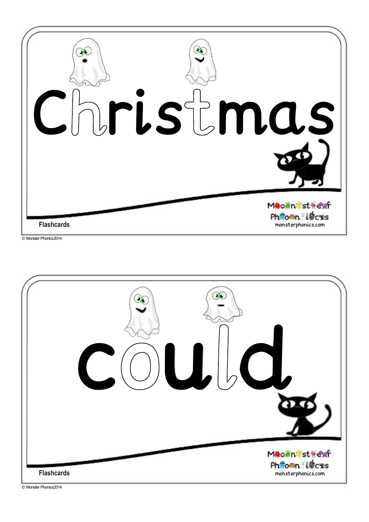![](_page_23_Picture_0.jpeg)

![](_page_23_Picture_2.jpeg)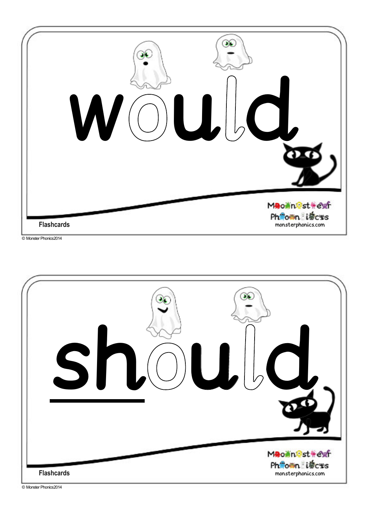![](_page_24_Picture_0.jpeg)

![](_page_24_Picture_1.jpeg)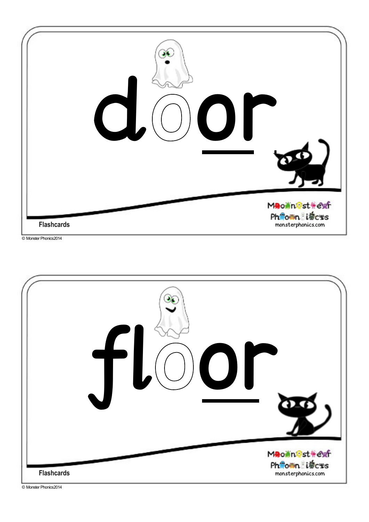![](_page_25_Picture_0.jpeg)

![](_page_25_Picture_2.jpeg)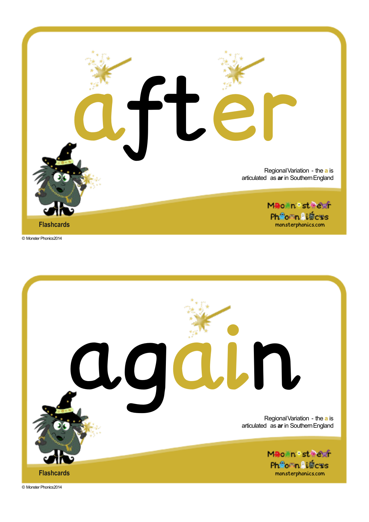![](_page_26_Picture_0.jpeg)

![](_page_26_Picture_2.jpeg)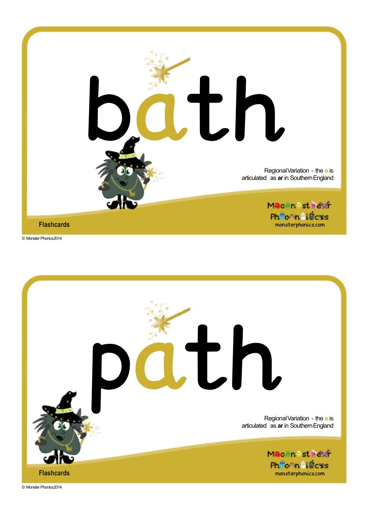![](_page_27_Picture_0.jpeg)

![](_page_27_Picture_2.jpeg)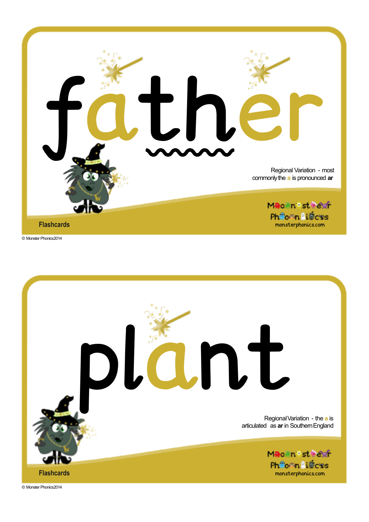![](_page_28_Picture_0.jpeg)

![](_page_28_Picture_2.jpeg)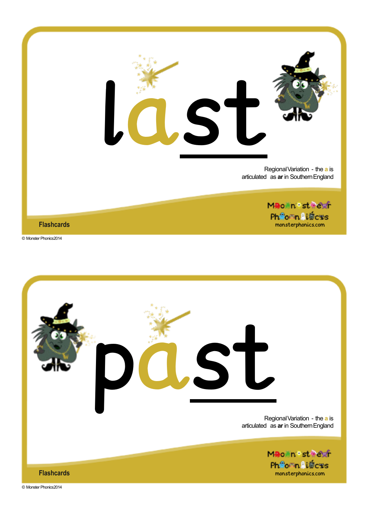![](_page_29_Picture_0.jpeg)

![](_page_29_Picture_2.jpeg)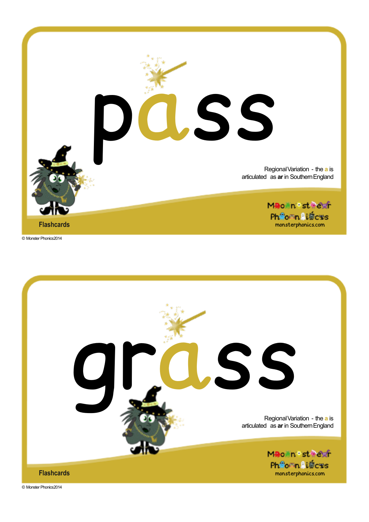![](_page_30_Picture_0.jpeg)

![](_page_30_Picture_2.jpeg)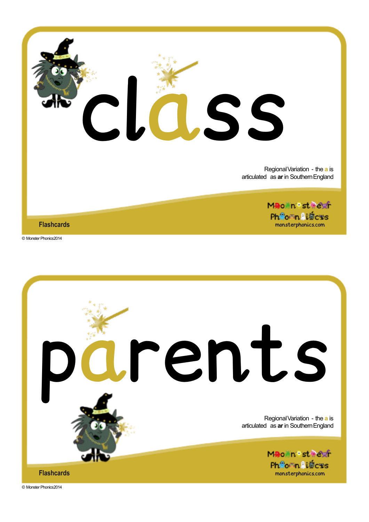![](_page_31_Picture_0.jpeg)

![](_page_31_Picture_2.jpeg)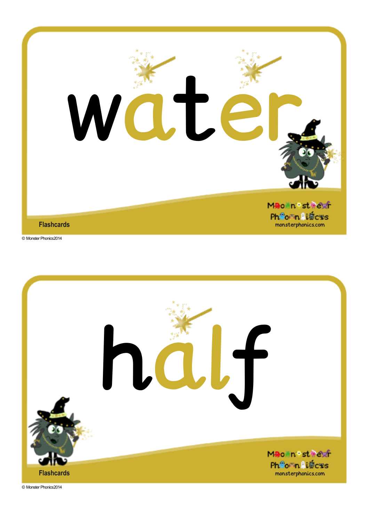![](_page_32_Picture_0.jpeg)

**Flashcards**

© Monster Phonics2014

![](_page_32_Picture_3.jpeg)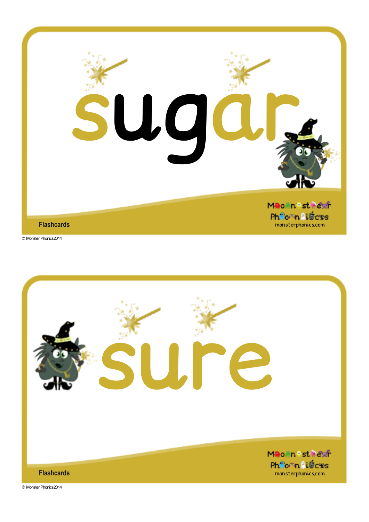![](_page_33_Picture_0.jpeg)

![](_page_33_Picture_2.jpeg)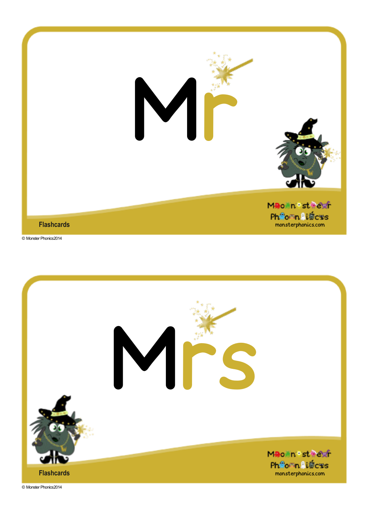![](_page_34_Picture_0.jpeg)

![](_page_34_Picture_2.jpeg)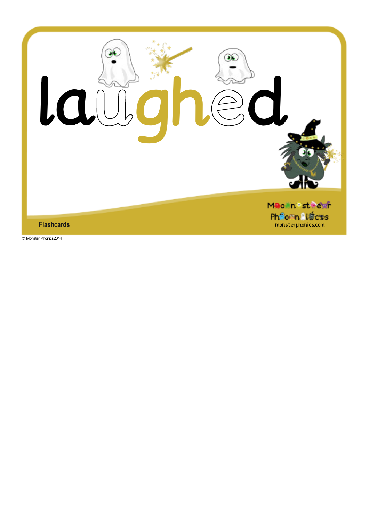![](_page_35_Picture_0.jpeg)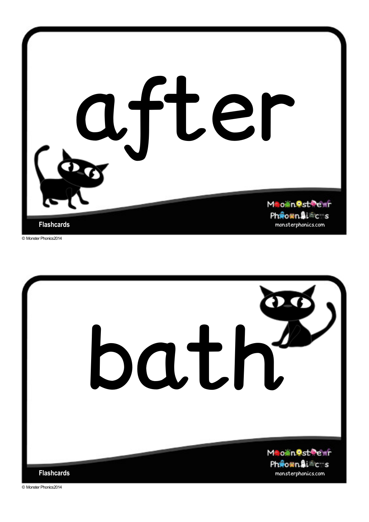![](_page_36_Picture_0.jpeg)

![](_page_36_Picture_2.jpeg)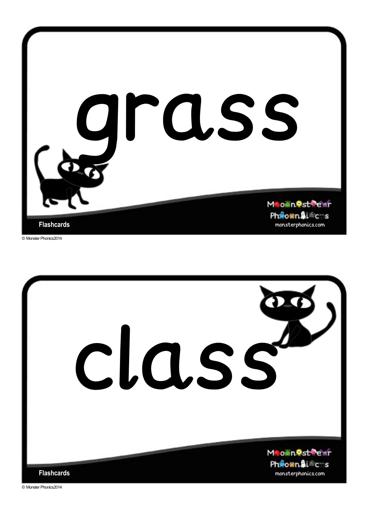![](_page_37_Picture_0.jpeg)

![](_page_37_Picture_2.jpeg)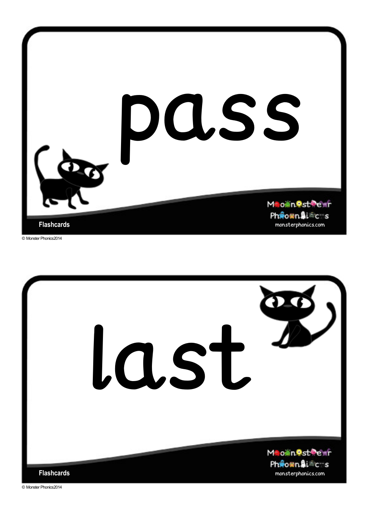![](_page_38_Picture_0.jpeg)

![](_page_38_Picture_2.jpeg)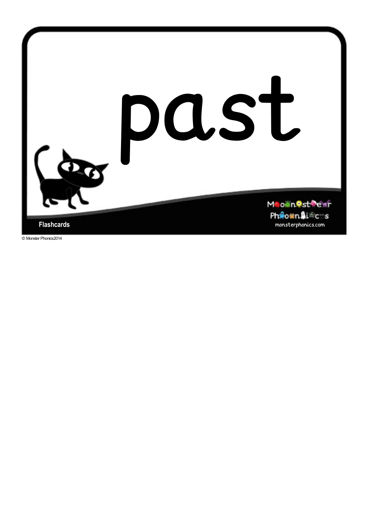![](_page_39_Picture_0.jpeg)